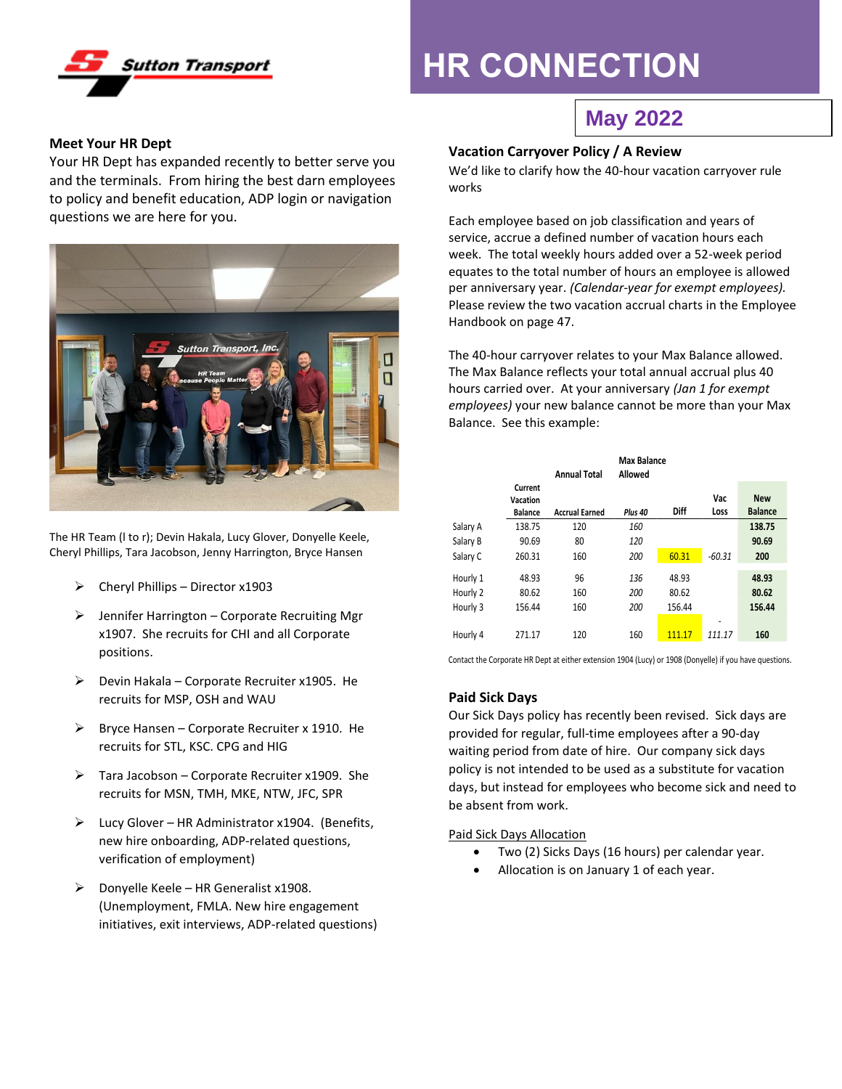

# **HR CONNECTION**

## **May 2022**

#### **Meet Your HR Dept**

Your HR Dept has expanded recently to better serve you and the terminals. From hiring the best darn employees to policy and benefit education, ADP login or navigation questions we are here for you.



The HR Team (l to r); Devin Hakala, Lucy Glover, Donyelle Keele, Cheryl Phillips, Tara Jacobson, Jenny Harrington, Bryce Hansen

- $\triangleright$  Cheryl Phillips Director x1903
- ➢ Jennifer Harrington Corporate Recruiting Mgr x1907. She recruits for CHI and all Corporate positions.
- $\triangleright$  Devin Hakala Corporate Recruiter x1905. He recruits for MSP, OSH and WAU
- $\triangleright$  Bryce Hansen Corporate Recruiter x 1910. He recruits for STL, KSC. CPG and HIG
- $\triangleright$  Tara Jacobson Corporate Recruiter x1909. She recruits for MSN, TMH, MKE, NTW, JFC, SPR
- ➢ Lucy Glover HR Administrator x1904. (Benefits, new hire onboarding, ADP-related questions, verification of employment)
- $\triangleright$  Donyelle Keele HR Generalist x1908. (Unemployment, FMLA. New hire engagement initiatives, exit interviews, ADP-related questions)

### **Vacation Carryover Policy / A Review**

We'd like to clarify how the 40-hour vacation carryover rule works

Each employee based on job classification and years of service, accrue a defined number of vacation hours each week. The total weekly hours added over a 52-week period equates to the total number of hours an employee is allowed per anniversary year. *(Calendar-year for exempt employees).* Please review the two vacation accrual charts in the Employee Handbook on page 47.

The 40-hour carryover relates to your Max Balance allowed. The Max Balance reflects your total annual accrual plus 40 hours carried over. At your anniversary *(Jan 1 for exempt employees)* your new balance cannot be more than your Max Balance. See this example:

|          |                |                       | <b>Max Balance</b> |        |          |                |
|----------|----------------|-----------------------|--------------------|--------|----------|----------------|
|          |                | <b>Annual Total</b>   | Allowed            |        |          |                |
|          | Current        |                       |                    |        |          |                |
|          | Vacation       |                       |                    |        | Vac      | <b>New</b>     |
|          | <b>Balance</b> | <b>Accrual Earned</b> | Plus 40            | Diff   | Loss     | <b>Balance</b> |
| Salary A | 138.75         | 120                   | 160                |        |          | 138.75         |
| Salary B | 90.69          | 80                    | 120                |        |          | 90.69          |
| Salary C | 260.31         | 160                   | 200                | 60.31  | $-60.31$ | 200            |
| Hourly 1 | 48.93          | 96                    | 136                | 48.93  |          | 48.93          |
|          |                |                       |                    |        |          |                |
| Hourly 2 | 80.62          | 160                   | 200                | 80.62  |          | 80.62          |
| Hourly 3 | 156.44         | 160                   | 200                | 156.44 |          | 156.44         |
|          |                |                       |                    |        | -        |                |
| Hourly 4 | 271.17         | 120                   | 160                | 111.17 | 111.17   | 160            |

Contact the Corporate HR Dept at either extension 1904 (Lucy) or 1908 (Donyelle) if you have questions.

#### **Paid Sick Days**

Our Sick Days policy has recently been revised. Sick days are provided for regular, full-time employees after a 90-day waiting period from date of hire. Our company sick days policy is not intended to be used as a substitute for vacation days, but instead for employees who become sick and need to be absent from work.

Paid Sick Days Allocation

- Two (2) Sicks Days (16 hours) per calendar year.
- Allocation is on January 1 of each year.